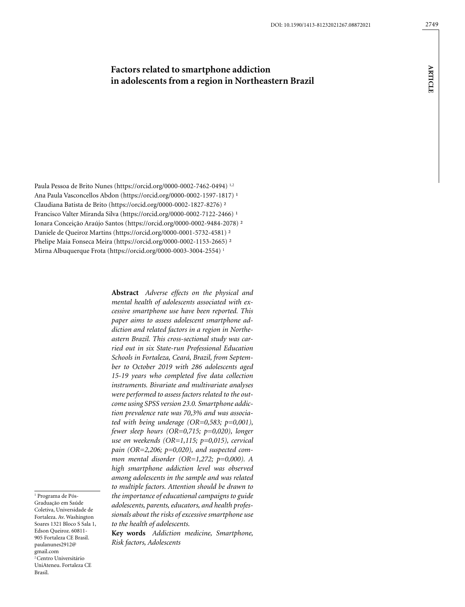# **Factors related to smartphone addiction in adolescents from a region in Northeastern Brazil**

Paula Pessoa de Brito Nunes (https://orcid.org/0000-0002-7462-0494) 1,2 Ana Paula Vasconcellos Abdon (https://orcid.org/0000-0002-1597-1817)<sup>1</sup> Claudiana Batista de Brito (https://orcid.org/0000-0002-1827-8276) ² Francisco Valter Miranda Silva (https://orcid.org/0000-0002-7122-2466)<sup>1</sup> Ionara Conceição Araújo Santos (https://orcid.org/0000-0002-9484-2078) ² Daniele de Queiroz Martins (https://orcid.org/0000-0001-5732-4581) ² Phelipe Maia Fonseca Meira (https://orcid.org/0000-0002-1153-2665) ² Mirna Albuquerque Frota (https://orcid.org/0000-0003-3004-2554) 1

> **Abstract** *Adverse effects on the physical and mental health of adolescents associated with excessive smartphone use have been reported. This paper aims to assess adolescent smartphone addiction and related factors in a region in Northeastern Brazil. This cross-sectional study was carried out in six State-run Professional Education Schools in Fortaleza, Ceará, Brazil, from September to October 2019 with 286 adolescents aged 15-19 years who completed five data collection instruments. Bivariate and multivariate analyses were performed to assess factors related to the outcome using SPSS version 23.0. Smartphone addiction prevalence rate was 70,3% and was associated with being underage (OR=0,583; p=0,001), fewer sleep hours (OR=0,715; p=0,020), longer use on weekends (OR=1,115; p=0,015), cervical pain (OR=2,206; p=0,020), and suspected common mental disorder (OR=1,272; p=0,000). A high smartphone addiction level was observed among adolescents in the sample and was related to multiple factors. Attention should be drawn to the importance of educational campaigns to guide adolescents, parents, educators, and health professionals about the risks of excessive smartphone use to the health of adolescents.*

**Key words** *Addiction medicine, Smartphone, Risk factors, Adolescents*

1 Programa de Pós-Graduação em Saúde Coletiva, Universidade de Fortaleza. Av. Washington Soares 1321 Bloco S Sala 1, Edson Queiroz. 60811- 905 Fortaleza CE Brasil. paulanunes2912@ gmail.com <sup>2</sup> Centro Universitário UniAteneu. Fortaleza CE Brasil.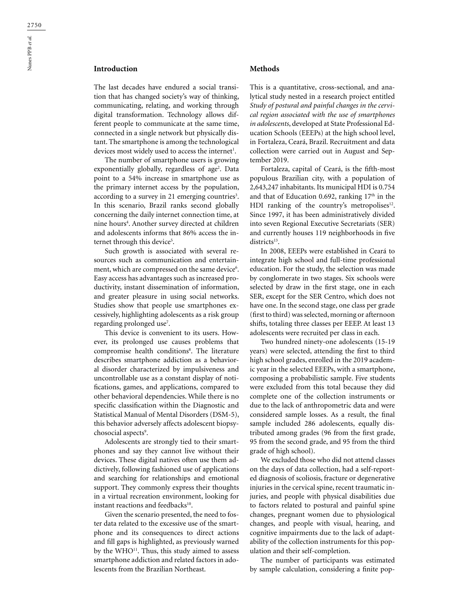# **Introduction**

The last decades have endured a social transition that has changed society's way of thinking, communicating, relating, and working through digital transformation. Technology allows different people to communicate at the same time, connected in a single network but physically distant. The smartphone is among the technological devices most widely used to access the internet<sup>1</sup>.

The number of smartphone users is growing exponentially globally, regardless of age<sup>2</sup>. Data point to a 54% increase in smartphone use as the primary internet access by the population, according to a survey in 21 emerging countries<sup>3</sup>. In this scenario, Brazil ranks second globally concerning the daily internet connection time, at nine hours<sup>4</sup>. Another survey directed at children and adolescents informs that 86% access the internet through this device<sup>5</sup>.

Such growth is associated with several resources such as communication and entertainment, which are compressed on the same device<sup>6</sup>. Easy access has advantages such as increased productivity, instant dissemination of information, and greater pleasure in using social networks. Studies show that people use smartphones excessively, highlighting adolescents as a risk group regarding prolonged use<sup>7</sup>.

This device is convenient to its users. However, its prolonged use causes problems that compromise health conditions<sup>8</sup>. The literature describes smartphone addiction as a behavioral disorder characterized by impulsiveness and uncontrollable use as a constant display of notifications, games, and applications, compared to other behavioral dependencies. While there is no specific classification within the Diagnostic and Statistical Manual of Mental Disorders (DSM-5), this behavior adversely affects adolescent biopsychosocial aspects<sup>9</sup>.

Adolescents are strongly tied to their smartphones and say they cannot live without their devices. These digital natives often use them addictively, following fashioned use of applications and searching for relationships and emotional support. They commonly express their thoughts in a virtual recreation environment, looking for instant reactions and feedbacks<sup>10</sup>.

Given the scenario presented, the need to foster data related to the excessive use of the smartphone and its consequences to direct actions and fill gaps is highlighted, as previously warned by the WHO<sup>11</sup>. Thus, this study aimed to assess smartphone addiction and related factors in adolescents from the Brazilian Northeast.

## **Methods**

This is a quantitative, cross-sectional, and analytical study nested in a research project entitled *Study of postural and painful changes in the cervical region associated with the use of smartphones in adolescents*, developed at State Professional Education Schools (EEEPs) at the high school level, in Fortaleza, Ceará, Brazil. Recruitment and data collection were carried out in August and September 2019.

Fortaleza, capital of Ceará, is the fifth-most populous Brazilian city, with a population of 2,643,247 inhabitants. Its municipal HDI is 0.754 and that of Education 0.692, ranking  $17<sup>th</sup>$  in the HDI ranking of the country's metropolises $12$ . Since 1997, it has been administratively divided into seven Regional Executive Secretariats (SER) and currently houses 119 neighborhoods in five districts<sup>13</sup>.

In 2008, EEEPs were established in Ceará to integrate high school and full-time professional education. For the study, the selection was made by conglomerate in two stages. Six schools were selected by draw in the first stage, one in each SER, except for the SER Centro, which does not have one. In the second stage, one class per grade (first to third) was selected, morning or afternoon shifts, totaling three classes per EEEP. At least 13 adolescents were recruited per class in each.

Two hundred ninety-one adolescents (15-19 years) were selected, attending the first to third high school grades, enrolled in the 2019 academic year in the selected EEEPs, with a smartphone, composing a probabilistic sample. Five students were excluded from this total because they did complete one of the collection instruments or due to the lack of anthropometric data and were considered sample losses. As a result, the final sample included 286 adolescents, equally distributed among grades (96 from the first grade, 95 from the second grade, and 95 from the third grade of high school).

We excluded those who did not attend classes on the days of data collection, had a self-reported diagnosis of scoliosis, fracture or degenerative injuries in the cervical spine, recent traumatic injuries, and people with physical disabilities due to factors related to postural and painful spine changes, pregnant women due to physiological changes, and people with visual, hearing, and cognitive impairments due to the lack of adaptability of the collection instruments for this population and their self-completion.

The number of participants was estimated by sample calculation, considering a finite pop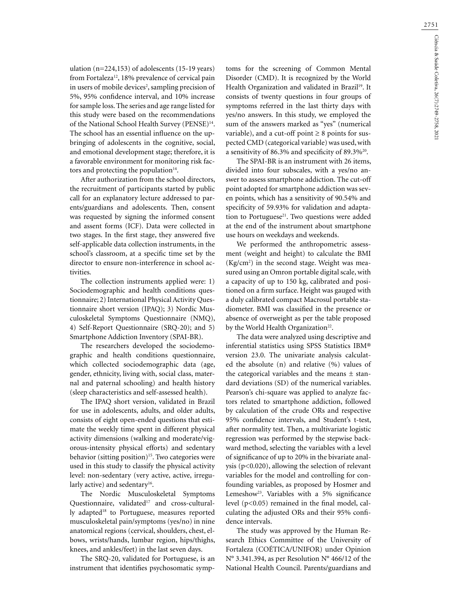ulation (n=224,153) of adolescents (15-19 years) from Fortaleza<sup>12</sup>, 18% prevalence of cervical pain in users of mobile devices<sup>2</sup>, sampling precision of 5%, 95% confidence interval, and 10% increase for sample loss. The series and age range listed for this study were based on the recommendations of the National School Health Survey (PENSE)<sup>14</sup>. The school has an essential influence on the upbringing of adolescents in the cognitive, social, and emotional development stage; therefore, it is a favorable environment for monitoring risk factors and protecting the population $14$ .

After authorization from the school directors, the recruitment of participants started by public call for an explanatory lecture addressed to parents/guardians and adolescents. Then, consent was requested by signing the informed consent and assent forms (ICF). Data were collected in two stages. In the first stage, they answered five self-applicable data collection instruments, in the school's classroom, at a specific time set by the director to ensure non-interference in school activities.

The collection instruments applied were: 1) Sociodemographic and health conditions questionnaire; 2) International Physical Activity Questionnaire short version (IPAQ); 3) Nordic Musculoskeletal Symptoms Questionnaire (NMQ), 4) Self-Report Questionnaire (SRQ-20); and 5) Smartphone Addiction Inventory (SPAI-BR).

The researchers developed the sociodemographic and health conditions questionnaire, which collected sociodemographic data (age, gender, ethnicity, living with, social class, maternal and paternal schooling) and health history (sleep characteristics and self-assessed health).

The IPAQ short version, validated in Brazil for use in adolescents, adults, and older adults, consists of eight open-ended questions that estimate the weekly time spent in different physical activity dimensions (walking and moderate/vigorous-intensity physical efforts) and sedentary behavior (sitting position)<sup>15</sup>. Two categories were used in this study to classify the physical activity level: non-sedentary (very active, active, irregularly active) and sedentary<sup>16</sup>.

The Nordic Musculoskeletal Symptoms Questionnaire, validated<sup>17</sup> and cross-culturally adapted<sup>18</sup> to Portuguese, measures reported musculoskeletal pain/symptoms (yes/no) in nine anatomical regions (cervical, shoulders, chest, elbows, wrists/hands, lumbar region, hips/thighs, knees, and ankles/feet) in the last seven days.

The SRQ-20, validated for Portuguese, is an instrument that identifies psychosomatic symptoms for the screening of Common Mental Disorder (CMD). It is recognized by the World Health Organization and validated in Brazil<sup>19</sup>. It consists of twenty questions in four groups of symptoms referred in the last thirty days with yes/no answers. In this study, we employed the sum of the answers marked as "yes" (numerical variable), and a cut-off point  $\geq 8$  points for suspected CMD (categorical variable) was used, with a sensitivity of 86.3% and specificity of 89.3%20.

The SPAI-BR is an instrument with 26 items, divided into four subscales, with a yes/no answer to assess smartphone addiction. The cut-off point adopted for smartphone addiction was seven points, which has a sensitivity of 90.54% and specificity of 59.93% for validation and adaptation to Portuguese<sup>21</sup>. Two questions were added at the end of the instrument about smartphone use hours on weekdays and weekends.

We performed the anthropometric assessment (weight and height) to calculate the BMI  $(Kg/cm<sup>2</sup>)$  in the second stage. Weight was measured using an Omron portable digital scale, with a capacity of up to 150 kg, calibrated and positioned on a firm surface. Height was gauged with a duly calibrated compact Macrosul portable stadiometer. BMI was classified in the presence or absence of overweight as per the table proposed by the World Health Organization<sup>22</sup>.

The data were analyzed using descriptive and inferential statistics using SPSS Statistics IBM® version 23.0. The univariate analysis calculated the absolute (n) and relative (%) values of the categorical variables and the means  $\pm$  standard deviations (SD) of the numerical variables. Pearson's chi-square was applied to analyze factors related to smartphone addiction, followed by calculation of the crude ORs and respective 95% confidence intervals, and Student's t-test, after normality test. Then, a multivariate logistic regression was performed by the stepwise backward method, selecting the variables with a level of significance of up to 20% in the bivariate analysis ( $p<0.020$ ), allowing the selection of relevant variables for the model and controlling for confounding variables, as proposed by Hosmer and Lemeshow<sup>23</sup>. Variables with a 5% significance level (p<0.05) remained in the final model, calculating the adjusted ORs and their 95% confidence intervals.

The study was approved by the Human Research Ethics Committee of the University of Fortaleza (COÉTICA/UNIFOR) under Opinion N° 3.341.394, as per Resolution N° 466/12 of the National Health Council. Parents/guardians and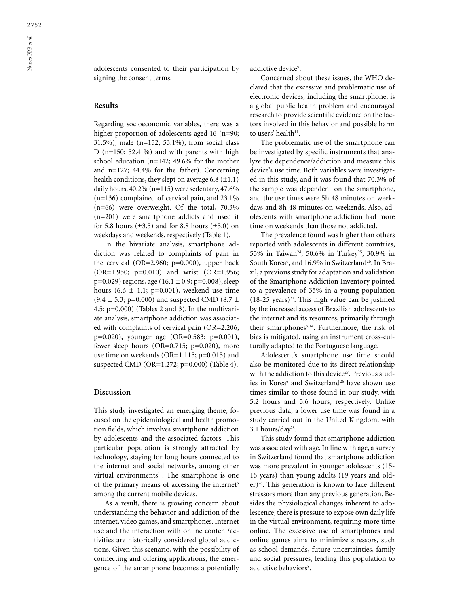adolescents consented to their participation by signing the consent terms.

# **Results**

Regarding socioeconomic variables, there was a higher proportion of adolescents aged 16 (n=90; 31.5%), male (n=152; 53.1%), from social class D ( $n=150$ ; 52.4 %) and with parents with high school education (n=142; 49.6% for the mother and n=127; 44.4% for the father). Concerning health conditions, they slept on average 6.8  $(\pm 1.1)$ daily hours, 40.2% (n=115) were sedentary, 47.6% (n=136) complained of cervical pain, and 23.1% (n=66) were overweight. Of the total, 70.3% (n=201) were smartphone addicts and used it for 5.8 hours  $(\pm 3.5)$  and for 8.8 hours  $(\pm 5.0)$  on weekdays and weekends, respectively (Table 1).

In the bivariate analysis, smartphone addiction was related to complaints of pain in the cervical (OR=2.960; p=0.000), upper back (OR=1.950; p=0.010) and wrist (OR=1.956;  $p=0.029$ ) regions, age (16.1 ± 0.9; p=0.008), sleep hours  $(6.6 \pm 1.1; \text{ p=0.001})$ , weekend use time  $(9.4 \pm 5.3; \text{p=0.000})$  and suspected CMD (8.7  $\pm$ 4.5; p=0.000) (Tables 2 and 3). In the multivariate analysis, smartphone addiction was associated with complaints of cervical pain (OR=2.206; p=0.020), younger age (OR=0.583; p=0.001), fewer sleep hours (OR=0.715; p=0.020), more use time on weekends (OR=1.115; p=0.015) and suspected CMD (OR=1.272; p=0.000) (Table 4).

#### **Discussion**

This study investigated an emerging theme, focused on the epidemiological and health promotion fields, which involves smartphone addiction by adolescents and the associated factors. This particular population is strongly attracted by technology, staying for long hours connected to the internet and social networks, among other virtual environments $11$ . The smartphone is one of the primary means of accessing the internet<sup>5</sup> among the current mobile devices.

As a result, there is growing concern about understanding the behavior and addiction of the internet, video games, and smartphones. Internet use and the interaction with online content/activities are historically considered global addictions. Given this scenario, with the possibility of connecting and offering applications, the emergence of the smartphone becomes a potentially

addictive device<sup>9</sup>.

Concerned about these issues, the WHO declared that the excessive and problematic use of electronic devices, including the smartphone, is a global public health problem and encouraged research to provide scientific evidence on the factors involved in this behavior and possible harm to users' health<sup>11</sup>.

The problematic use of the smartphone can be investigated by specific instruments that analyze the dependence/addiction and measure this device's use time. Both variables were investigated in this study, and it was found that 70.3% of the sample was dependent on the smartphone, and the use times were 5h 48 minutes on weekdays and 8h 48 minutes on weekends. Also, adolescents with smartphone addiction had more time on weekends than those not addicted.

The prevalence found was higher than others reported with adolescents in different countries, 55% in Taiwan<sup>24</sup>, 50.6% in Turkey<sup>25</sup>, 30.9% in South Korea<sup>6</sup>, and 16.9% in Switzerland<sup>26</sup>. In Brazil, a previous study for adaptation and validation of the Smartphone Addiction Inventory pointed to a prevalence of 35% in a young population  $(18-25 \text{ years})^{21}$ . This high value can be justified by the increased access of Brazilian adolescents to the internet and its resources, primarily through their smartphones<sup>5,14</sup>. Furthermore, the risk of bias is mitigated, using an instrument cross-culturally adapted to the Portuguese language.

Adolescent's smartphone use time should also be monitored due to its direct relationship with the addiction to this device<sup>27</sup>. Previous studies in Korea<sup>6</sup> and Switzerland<sup>26</sup> have shown use times similar to those found in our study, with 5.2 hours and 5.6 hours, respectively. Unlike previous data, a lower use time was found in a study carried out in the United Kingdom, with  $3.1$  hours/day<sup>28</sup>.

This study found that smartphone addiction was associated with age. In line with age, a survey in Switzerland found that smartphone addiction was more prevalent in younger adolescents (15- 16 years) than young adults (19 years and older)<sup>26</sup>. This generation is known to face different stressors more than any previous generation. Besides the physiological changes inherent to adolescence, there is pressure to expose own daily life in the virtual environment, requiring more time online. The excessive use of smartphones and online games aims to minimize stressors, such as school demands, future uncertainties, family and social pressures, leading this population to addictive behaviors<sup>8</sup>.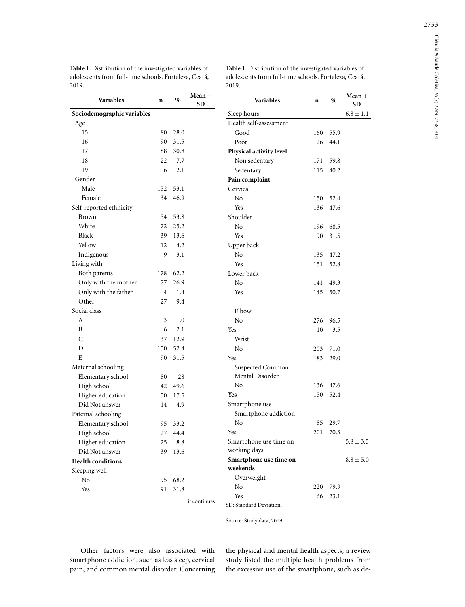| Sociodemographic variables<br>Sleep hours<br>Health self-assessment<br>Age<br>15<br>80<br>28.0<br>Good<br>160<br>90<br>16<br>31.5<br>Poor<br>126<br>17<br>88<br>30.8<br>Physical activity level<br>18<br>22<br>7.7<br>Non sedentary<br>171<br>19<br>6<br>2.1<br>Sedentary<br>115<br>Gender<br>Pain complaint<br>Male<br>152<br>53.1<br>Cervical<br>Female<br>46.9<br>N <sub>o</sub><br>134<br>150<br>Self-reported ethnicity<br>Yes<br>136<br><b>Brown</b><br>154<br>Shoulder<br>53.8<br>White<br>72<br>25.2<br>N <sub>o</sub><br>196<br>Black<br>39<br>13.6<br>Yes<br>90<br>Yellow<br>12<br>4.2<br>Upper back<br>Indigenous<br>9<br>3.1<br>N <sub>o</sub><br>135<br>Living with<br>Yes<br>151<br>Both parents<br>62.2<br>Lower back<br>178<br>Only with the mother<br>77<br>26.9<br>No<br>141<br>Only with the father<br>$\overline{4}$<br>1.4<br>Yes<br>145<br>Other<br>27<br>9.4<br>Social class<br>Elbow<br>3<br>1.0<br>N <sub>o</sub><br>А<br>276<br>B<br>6<br>2.1<br>Yes<br>10<br>C<br>12.9<br>37<br>Wrist<br>D<br>150<br>52.4<br>N <sub>o</sub><br>203<br>Ε<br>90<br>31.5<br>Yes<br>83<br>Maternal schooling<br>Suspected Common<br>Mental Disorder<br>Elementary school<br>28<br>80<br>No<br>136<br>High school<br>49.6<br>142<br><b>Yes</b><br>Higher education<br>150<br>50<br>17.5<br>Smartphone use<br>Did Not answer<br>14<br>4.9<br>Smartphone addiction<br>Paternal schooling<br>No<br>85<br>Elementary school<br>95<br>33.2<br>201<br><b>Yes</b><br>High school<br>127 44.4<br>Smartphone use time on<br>Higher education<br>25<br>8.8<br>working days<br>Did Not answer<br>39<br>13.6<br>Smartphone use time on<br><b>Health conditions</b><br>weekends<br>Sleeping well<br>Overweight<br>No<br>195<br>68.2<br>No<br>220 | <b>Variables</b> | $\mathbf n$ | $\%$ | $Mean +$<br><b>SD</b> | Variables | $\mathbf n$ | $\%$         |
|-------------------------------------------------------------------------------------------------------------------------------------------------------------------------------------------------------------------------------------------------------------------------------------------------------------------------------------------------------------------------------------------------------------------------------------------------------------------------------------------------------------------------------------------------------------------------------------------------------------------------------------------------------------------------------------------------------------------------------------------------------------------------------------------------------------------------------------------------------------------------------------------------------------------------------------------------------------------------------------------------------------------------------------------------------------------------------------------------------------------------------------------------------------------------------------------------------------------------------------------------------------------------------------------------------------------------------------------------------------------------------------------------------------------------------------------------------------------------------------------------------------------------------------------------------------------------------------------------------------------------------------------------------------------------------------------------------------------------------------------|------------------|-------------|------|-----------------------|-----------|-------------|--------------|
|                                                                                                                                                                                                                                                                                                                                                                                                                                                                                                                                                                                                                                                                                                                                                                                                                                                                                                                                                                                                                                                                                                                                                                                                                                                                                                                                                                                                                                                                                                                                                                                                                                                                                                                                           |                  |             |      |                       |           |             |              |
|                                                                                                                                                                                                                                                                                                                                                                                                                                                                                                                                                                                                                                                                                                                                                                                                                                                                                                                                                                                                                                                                                                                                                                                                                                                                                                                                                                                                                                                                                                                                                                                                                                                                                                                                           |                  |             |      |                       |           |             |              |
|                                                                                                                                                                                                                                                                                                                                                                                                                                                                                                                                                                                                                                                                                                                                                                                                                                                                                                                                                                                                                                                                                                                                                                                                                                                                                                                                                                                                                                                                                                                                                                                                                                                                                                                                           |                  |             |      |                       |           |             | 55.9         |
|                                                                                                                                                                                                                                                                                                                                                                                                                                                                                                                                                                                                                                                                                                                                                                                                                                                                                                                                                                                                                                                                                                                                                                                                                                                                                                                                                                                                                                                                                                                                                                                                                                                                                                                                           |                  |             |      |                       |           |             | 44.1         |
|                                                                                                                                                                                                                                                                                                                                                                                                                                                                                                                                                                                                                                                                                                                                                                                                                                                                                                                                                                                                                                                                                                                                                                                                                                                                                                                                                                                                                                                                                                                                                                                                                                                                                                                                           |                  |             |      |                       |           |             |              |
|                                                                                                                                                                                                                                                                                                                                                                                                                                                                                                                                                                                                                                                                                                                                                                                                                                                                                                                                                                                                                                                                                                                                                                                                                                                                                                                                                                                                                                                                                                                                                                                                                                                                                                                                           |                  |             |      |                       |           |             | 59.8         |
|                                                                                                                                                                                                                                                                                                                                                                                                                                                                                                                                                                                                                                                                                                                                                                                                                                                                                                                                                                                                                                                                                                                                                                                                                                                                                                                                                                                                                                                                                                                                                                                                                                                                                                                                           |                  |             |      |                       |           |             | 40.2         |
|                                                                                                                                                                                                                                                                                                                                                                                                                                                                                                                                                                                                                                                                                                                                                                                                                                                                                                                                                                                                                                                                                                                                                                                                                                                                                                                                                                                                                                                                                                                                                                                                                                                                                                                                           |                  |             |      |                       |           |             |              |
|                                                                                                                                                                                                                                                                                                                                                                                                                                                                                                                                                                                                                                                                                                                                                                                                                                                                                                                                                                                                                                                                                                                                                                                                                                                                                                                                                                                                                                                                                                                                                                                                                                                                                                                                           |                  |             |      |                       |           |             |              |
|                                                                                                                                                                                                                                                                                                                                                                                                                                                                                                                                                                                                                                                                                                                                                                                                                                                                                                                                                                                                                                                                                                                                                                                                                                                                                                                                                                                                                                                                                                                                                                                                                                                                                                                                           |                  |             |      |                       |           |             | 52.4         |
|                                                                                                                                                                                                                                                                                                                                                                                                                                                                                                                                                                                                                                                                                                                                                                                                                                                                                                                                                                                                                                                                                                                                                                                                                                                                                                                                                                                                                                                                                                                                                                                                                                                                                                                                           |                  |             |      |                       |           |             | 47.6         |
|                                                                                                                                                                                                                                                                                                                                                                                                                                                                                                                                                                                                                                                                                                                                                                                                                                                                                                                                                                                                                                                                                                                                                                                                                                                                                                                                                                                                                                                                                                                                                                                                                                                                                                                                           |                  |             |      |                       |           |             |              |
|                                                                                                                                                                                                                                                                                                                                                                                                                                                                                                                                                                                                                                                                                                                                                                                                                                                                                                                                                                                                                                                                                                                                                                                                                                                                                                                                                                                                                                                                                                                                                                                                                                                                                                                                           |                  |             |      |                       |           |             | 68.5         |
|                                                                                                                                                                                                                                                                                                                                                                                                                                                                                                                                                                                                                                                                                                                                                                                                                                                                                                                                                                                                                                                                                                                                                                                                                                                                                                                                                                                                                                                                                                                                                                                                                                                                                                                                           |                  |             |      |                       |           |             | 31.5         |
|                                                                                                                                                                                                                                                                                                                                                                                                                                                                                                                                                                                                                                                                                                                                                                                                                                                                                                                                                                                                                                                                                                                                                                                                                                                                                                                                                                                                                                                                                                                                                                                                                                                                                                                                           |                  |             |      |                       |           |             |              |
|                                                                                                                                                                                                                                                                                                                                                                                                                                                                                                                                                                                                                                                                                                                                                                                                                                                                                                                                                                                                                                                                                                                                                                                                                                                                                                                                                                                                                                                                                                                                                                                                                                                                                                                                           |                  |             |      |                       |           |             | 47.2         |
|                                                                                                                                                                                                                                                                                                                                                                                                                                                                                                                                                                                                                                                                                                                                                                                                                                                                                                                                                                                                                                                                                                                                                                                                                                                                                                                                                                                                                                                                                                                                                                                                                                                                                                                                           |                  |             |      |                       |           |             | 52.8         |
|                                                                                                                                                                                                                                                                                                                                                                                                                                                                                                                                                                                                                                                                                                                                                                                                                                                                                                                                                                                                                                                                                                                                                                                                                                                                                                                                                                                                                                                                                                                                                                                                                                                                                                                                           |                  |             |      |                       |           |             |              |
|                                                                                                                                                                                                                                                                                                                                                                                                                                                                                                                                                                                                                                                                                                                                                                                                                                                                                                                                                                                                                                                                                                                                                                                                                                                                                                                                                                                                                                                                                                                                                                                                                                                                                                                                           |                  |             |      |                       |           |             | 49.3         |
|                                                                                                                                                                                                                                                                                                                                                                                                                                                                                                                                                                                                                                                                                                                                                                                                                                                                                                                                                                                                                                                                                                                                                                                                                                                                                                                                                                                                                                                                                                                                                                                                                                                                                                                                           |                  |             |      |                       |           |             | 50.7         |
|                                                                                                                                                                                                                                                                                                                                                                                                                                                                                                                                                                                                                                                                                                                                                                                                                                                                                                                                                                                                                                                                                                                                                                                                                                                                                                                                                                                                                                                                                                                                                                                                                                                                                                                                           |                  |             |      |                       |           |             |              |
|                                                                                                                                                                                                                                                                                                                                                                                                                                                                                                                                                                                                                                                                                                                                                                                                                                                                                                                                                                                                                                                                                                                                                                                                                                                                                                                                                                                                                                                                                                                                                                                                                                                                                                                                           |                  |             |      |                       |           |             |              |
|                                                                                                                                                                                                                                                                                                                                                                                                                                                                                                                                                                                                                                                                                                                                                                                                                                                                                                                                                                                                                                                                                                                                                                                                                                                                                                                                                                                                                                                                                                                                                                                                                                                                                                                                           |                  |             |      |                       |           |             | 96.5         |
|                                                                                                                                                                                                                                                                                                                                                                                                                                                                                                                                                                                                                                                                                                                                                                                                                                                                                                                                                                                                                                                                                                                                                                                                                                                                                                                                                                                                                                                                                                                                                                                                                                                                                                                                           |                  |             |      |                       |           |             | 3.5          |
|                                                                                                                                                                                                                                                                                                                                                                                                                                                                                                                                                                                                                                                                                                                                                                                                                                                                                                                                                                                                                                                                                                                                                                                                                                                                                                                                                                                                                                                                                                                                                                                                                                                                                                                                           |                  |             |      |                       |           |             |              |
|                                                                                                                                                                                                                                                                                                                                                                                                                                                                                                                                                                                                                                                                                                                                                                                                                                                                                                                                                                                                                                                                                                                                                                                                                                                                                                                                                                                                                                                                                                                                                                                                                                                                                                                                           |                  |             |      |                       |           |             | 71.0         |
|                                                                                                                                                                                                                                                                                                                                                                                                                                                                                                                                                                                                                                                                                                                                                                                                                                                                                                                                                                                                                                                                                                                                                                                                                                                                                                                                                                                                                                                                                                                                                                                                                                                                                                                                           |                  |             |      |                       |           |             | 29.0         |
|                                                                                                                                                                                                                                                                                                                                                                                                                                                                                                                                                                                                                                                                                                                                                                                                                                                                                                                                                                                                                                                                                                                                                                                                                                                                                                                                                                                                                                                                                                                                                                                                                                                                                                                                           |                  |             |      |                       |           |             |              |
|                                                                                                                                                                                                                                                                                                                                                                                                                                                                                                                                                                                                                                                                                                                                                                                                                                                                                                                                                                                                                                                                                                                                                                                                                                                                                                                                                                                                                                                                                                                                                                                                                                                                                                                                           |                  |             |      |                       |           |             |              |
|                                                                                                                                                                                                                                                                                                                                                                                                                                                                                                                                                                                                                                                                                                                                                                                                                                                                                                                                                                                                                                                                                                                                                                                                                                                                                                                                                                                                                                                                                                                                                                                                                                                                                                                                           |                  |             |      |                       |           |             | 47.6         |
|                                                                                                                                                                                                                                                                                                                                                                                                                                                                                                                                                                                                                                                                                                                                                                                                                                                                                                                                                                                                                                                                                                                                                                                                                                                                                                                                                                                                                                                                                                                                                                                                                                                                                                                                           |                  |             |      |                       |           |             | 52.4         |
|                                                                                                                                                                                                                                                                                                                                                                                                                                                                                                                                                                                                                                                                                                                                                                                                                                                                                                                                                                                                                                                                                                                                                                                                                                                                                                                                                                                                                                                                                                                                                                                                                                                                                                                                           |                  |             |      |                       |           |             |              |
|                                                                                                                                                                                                                                                                                                                                                                                                                                                                                                                                                                                                                                                                                                                                                                                                                                                                                                                                                                                                                                                                                                                                                                                                                                                                                                                                                                                                                                                                                                                                                                                                                                                                                                                                           |                  |             |      |                       |           |             |              |
|                                                                                                                                                                                                                                                                                                                                                                                                                                                                                                                                                                                                                                                                                                                                                                                                                                                                                                                                                                                                                                                                                                                                                                                                                                                                                                                                                                                                                                                                                                                                                                                                                                                                                                                                           |                  |             |      |                       |           |             | 29.7         |
|                                                                                                                                                                                                                                                                                                                                                                                                                                                                                                                                                                                                                                                                                                                                                                                                                                                                                                                                                                                                                                                                                                                                                                                                                                                                                                                                                                                                                                                                                                                                                                                                                                                                                                                                           |                  |             |      |                       |           |             | 70.3         |
|                                                                                                                                                                                                                                                                                                                                                                                                                                                                                                                                                                                                                                                                                                                                                                                                                                                                                                                                                                                                                                                                                                                                                                                                                                                                                                                                                                                                                                                                                                                                                                                                                                                                                                                                           |                  |             |      |                       |           |             |              |
|                                                                                                                                                                                                                                                                                                                                                                                                                                                                                                                                                                                                                                                                                                                                                                                                                                                                                                                                                                                                                                                                                                                                                                                                                                                                                                                                                                                                                                                                                                                                                                                                                                                                                                                                           |                  |             |      |                       |           |             |              |
|                                                                                                                                                                                                                                                                                                                                                                                                                                                                                                                                                                                                                                                                                                                                                                                                                                                                                                                                                                                                                                                                                                                                                                                                                                                                                                                                                                                                                                                                                                                                                                                                                                                                                                                                           |                  |             |      |                       |           |             |              |
|                                                                                                                                                                                                                                                                                                                                                                                                                                                                                                                                                                                                                                                                                                                                                                                                                                                                                                                                                                                                                                                                                                                                                                                                                                                                                                                                                                                                                                                                                                                                                                                                                                                                                                                                           |                  |             |      |                       |           |             |              |
|                                                                                                                                                                                                                                                                                                                                                                                                                                                                                                                                                                                                                                                                                                                                                                                                                                                                                                                                                                                                                                                                                                                                                                                                                                                                                                                                                                                                                                                                                                                                                                                                                                                                                                                                           |                  |             |      |                       |           |             |              |
| Yes<br>66                                                                                                                                                                                                                                                                                                                                                                                                                                                                                                                                                                                                                                                                                                                                                                                                                                                                                                                                                                                                                                                                                                                                                                                                                                                                                                                                                                                                                                                                                                                                                                                                                                                                                                                                 | Yes              | 91          | 31.8 |                       |           |             | 79.9<br>23.1 |

**Table 1.** Distribution of the investigated variables of adolescents from full-time schools. Fortaleza, Ceará, 2019.

**Table 1.** Distribution of the investigated variables of adolescents from full-time schools. Fortaleza, Ceará, 2019.

> **Mean + SD**  $6.8 \pm 1.1$

 $5.8 \pm 3.5$ 

 $8.8 \pm 5.0$ 

it continues

Source: Study data, 2019.

SD: Standard Deviation.

Other factors were also associated with smartphone addiction, such as less sleep, cervical pain, and common mental disorder. Concerning the physical and mental health aspects, a review study listed the multiple health problems from the excessive use of the smartphone, such as de-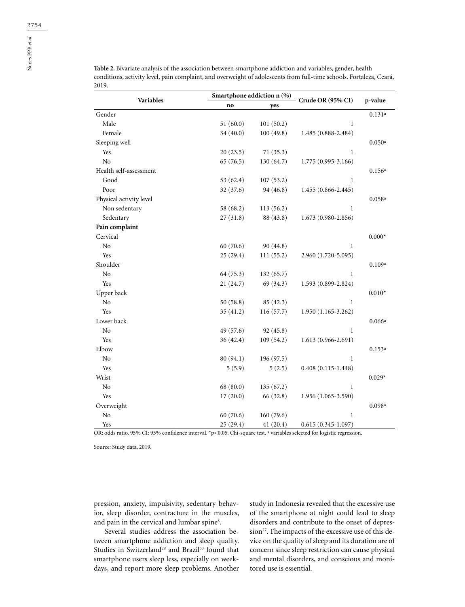| Variables               |           | Smartphone addiction $n$ (%) | Crude OR (95% CI)      | p-value  |
|-------------------------|-----------|------------------------------|------------------------|----------|
|                         | no        | yes                          |                        |          |
| Gender                  |           |                              |                        | 0.131a   |
| Male                    | 51(60.0)  | 101(50.2)                    | $\mathbf{1}$           |          |
| Female                  | 34 (40.0) | 100(49.8)                    | 1.485 (0.888-2.484)    |          |
| Sleeping well           |           |                              |                        | 0.050a   |
| Yes                     | 20(23.5)  | 71(35.3)                     | $\mathbf{1}$           |          |
| N <sub>o</sub>          | 65(76.5)  | 130 (64.7)                   | 1.775 (0.995-3.166)    |          |
| Health self-assessment  |           |                              |                        | 0.156a   |
| Good                    | 53 (62.4) | 107(53.2)                    | $\mathbf{1}$           |          |
| Poor                    | 32 (37.6) | 94 (46.8)                    | $1.455(0.866 - 2.445)$ |          |
| Physical activity level |           |                              |                        | 0.058a   |
| Non sedentary           | 58 (68.2) | 113(56.2)                    | 1                      |          |
| Sedentary               | 27(31.8)  | 88 (43.8)                    | $1.673(0.980 - 2.856)$ |          |
| Pain complaint          |           |                              |                        |          |
| Cervical                |           |                              |                        | $0.000*$ |
| No                      | 60(70.6)  | 90 (44.8)                    | 1                      |          |
| Yes                     | 25 (29.4) | 111(55.2)                    | 2.960 (1.720-5.095)    |          |
| Shoulder                |           |                              |                        | 0.109a   |
| No                      | 64 (75.3) | 132(65.7)                    | 1                      |          |
| Yes                     | 21(24.7)  | 69 (34.3)                    | 1.593 (0.899-2.824)    |          |
| Upper back              |           |                              |                        | $0.010*$ |
| N <sub>o</sub>          | 50(58.8)  | 85 (42.3)                    | $\mathbf{1}$           |          |
| Yes                     | 35(41.2)  | 116(57.7)                    | $1.950(1.165-3.262)$   |          |
| Lower back              |           |                              |                        | 0.066a   |
| No                      | 49 (57.6) | 92 (45.8)                    | $\mathbf{1}$           |          |
| Yes                     | 36(42.4)  | 109(54.2)                    | $1.613(0.966 - 2.691)$ |          |
| Elbow                   |           |                              |                        | 0.153a   |
| No                      | 80 (94.1) | 196 (97.5)                   | $\mathbf{1}$           |          |
| Yes                     | 5(5.9)    | 5(2.5)                       | $0.408(0.115 - 1.448)$ |          |
| Wrist                   |           |                              |                        | $0.029*$ |
| No                      | 68 (80.0) | 135 (67.2)                   | 1                      |          |
| Yes                     | 17(20.0)  | 66 (32.8)                    | 1.956 (1.065-3.590)    |          |
| Overweight              |           |                              |                        | 0.098a   |
| $\rm No$                | 60(70.6)  | 160(79.6)                    | $\mathbf{1}$           |          |

**Table 2.** Bivariate analysis of the association between smartphone addiction and variables, gender, health conditions, activity level, pain complaint, and overweight of adolescents from full-time schools. Fortaleza, Ceará, 2019.

Yes 25 (29.4) 41 (20.4) 0.615 (0.345-1.097) OR: odds ratio. 95% CI: 95% confidence interval. \*p<0.05. Chi-square test. <sup>a</sup> variables selected for logistic regression.

Source: Study data, 2019.

pression, anxiety, impulsivity, sedentary behavior, sleep disorder, contracture in the muscles, and pain in the cervical and lumbar spine<sup>8</sup>.

Several studies address the association between smartphone addiction and sleep quality. Studies in Switzerland<sup>29</sup> and Brazil<sup>30</sup> found that smartphone users sleep less, especially on weekdays, and report more sleep problems. Another

study in Indonesia revealed that the excessive use of the smartphone at night could lead to sleep disorders and contribute to the onset of depression<sup>27</sup>. The impacts of the excessive use of this device on the quality of sleep and its duration are of concern since sleep restriction can cause physical and mental disorders, and conscious and monitored use is essential.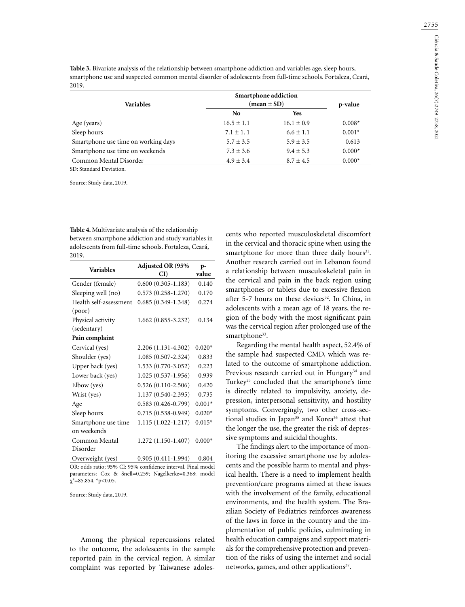**Table 3.** Bivariate analysis of the relationship between smartphone addiction and variables age, sleep hours, smartphone use and suspected common mental disorder of adolescents from full-time schools. Fortaleza, Ceará, 2019.

| <b>Variables</b>                    | Smartphone addiction<br>$(\text{mean} \pm \text{SD})$ | p-value        |          |
|-------------------------------------|-------------------------------------------------------|----------------|----------|
|                                     | No                                                    | Yes            |          |
| Age (years)                         | $16.5 \pm 1.1$                                        | $16.1 \pm 0.9$ | $0.008*$ |
| Sleep hours                         | $7.1 \pm 1.1$                                         | $6.6 \pm 1.1$  | $0.001*$ |
| Smartphone use time on working days | $5.7 \pm 3.5$                                         | $5.9 \pm 3.5$  | 0.613    |
| Smartphone use time on weekends     | $7.3 \pm 3.6$                                         | $9.4 \pm 5.3$  | $0.000*$ |
| Common Mental Disorder              | $4.9 + 3.4$                                           | $8.7 \pm 4.5$  | $0.000*$ |

SD: Standard Deviation.

Source: Study data, 2019.

**Table 4.** Multivariate analysis of the relationship between smartphone addiction and study variables in adolescents from full-time schools. Fortaleza, Ceará, 2019.

| <b>Variables</b>                 | Adjusted OR (95%<br>CI) | p-<br>value |
|----------------------------------|-------------------------|-------------|
| Gender (female)                  | $0.600(0.305 - 1.183)$  | 0.140       |
| Sleeping well (no)               | $0.573(0.258 - 1.270)$  | 0.170       |
| Health self-assessment<br>(poor) | $0.685(0.349 - 1.348)$  | 0.274       |
| Physical activity<br>(sedentary) | $1.662(0.855 - 3.232)$  | 0.134       |
| Pain complaint                   |                         |             |
| Cervical (yes)                   | 2.206 (1.131-4.302)     | $0.020*$    |
| Shoulder (yes)                   | $1.085(0.507 - 2.324)$  | 0.833       |
| Upper back (yes)                 | 1.533 (0.770-3.052)     | 0.223       |
| Lower back (yes)                 | 1.025 (0.537-1.956)     | 0.939       |
| Elbow (yes)                      | $0.526(0.110-2.506)$    | 0.420       |
| Wrist (yes)                      | 1.137 (0.540-2.395)     | 0.735       |
| Age                              | $0.583(0.426 - 0.799)$  | $0.001*$    |
| Sleep hours                      | $0.715(0.538-0.949)$    | $0.020*$    |
| Smartphone use time              | $1.115(1.022 - 1.217)$  | $0.015*$    |
| on weekends                      |                         |             |
| Common Mental<br>Disorder        | 1.272 (1.150-1.407)     | $0.000*$    |
| Overweight (yes)                 | $0.905(0.411-1.994)$    | 0.804       |

OR: odds ratio; 95% CI: 95% confidence interval. Final model parameters: Cox & Snell=0.259; Nagelkerke=0.368; model  $\chi^2$ =85.854. \*p<0.05.

Source: Study data, 2019.

Among the physical repercussions related to the outcome, the adolescents in the sample reported pain in the cervical region. A similar complaint was reported by Taiwanese adoles-

cents who reported musculoskeletal discomfort in the cervical and thoracic spine when using the smartphone for more than three daily hours<sup>31</sup>. Another research carried out in Lebanon found a relationship between musculoskeletal pain in the cervical and pain in the back region using smartphones or tablets due to excessive flexion after 5-7 hours on these devices<sup>32</sup>. In China, in adolescents with a mean age of 18 years, the region of the body with the most significant pain was the cervical region after prolonged use of the smartphone<sup>33</sup>.

Regarding the mental health aspect, 52.4% of the sample had suspected CMD, which was related to the outcome of smartphone addiction. Previous research carried out in Hungary<sup>34</sup> and Turkey<sup>25</sup> concluded that the smartphone's time is directly related to impulsivity, anxiety, depression, interpersonal sensitivity, and hostility symptoms. Convergingly, two other cross-sectional studies in Japan<sup>35</sup> and Korea<sup>36</sup> attest that the longer the use, the greater the risk of depressive symptoms and suicidal thoughts.

The findings alert to the importance of monitoring the excessive smartphone use by adolescents and the possible harm to mental and physical health. There is a need to implement health prevention/care programs aimed at these issues with the involvement of the family, educational environments, and the health system. The Brazilian Society of Pediatrics reinforces awareness of the laws in force in the country and the implementation of public policies, culminating in health education campaigns and support materials for the comprehensive protection and prevention of the risks of using the internet and social networks, games, and other applications<sup>37</sup>.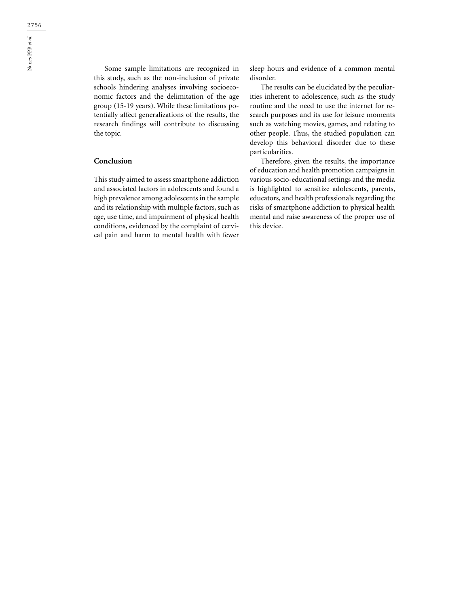Some sample limitations are recognized in this study, such as the non-inclusion of private schools hindering analyses involving socioeconomic factors and the delimitation of the age group (15-19 years). While these limitations potentially affect generalizations of the results, the research findings will contribute to discussing the topic.

## **Conclusion**

This study aimed to assess smartphone addiction and associated factors in adolescents and found a high prevalence among adolescents in the sample and its relationship with multiple factors, such as age, use time, and impairment of physical health conditions, evidenced by the complaint of cervical pain and harm to mental health with fewer

sleep hours and evidence of a common mental disorder.

The results can be elucidated by the peculiarities inherent to adolescence, such as the study routine and the need to use the internet for research purposes and its use for leisure moments such as watching movies, games, and relating to other people. Thus, the studied population can develop this behavioral disorder due to these particularities.

Therefore, given the results, the importance of education and health promotion campaigns in various socio-educational settings and the media is highlighted to sensitize adolescents, parents, educators, and health professionals regarding the risks of smartphone addiction to physical health mental and raise awareness of the proper use of this device.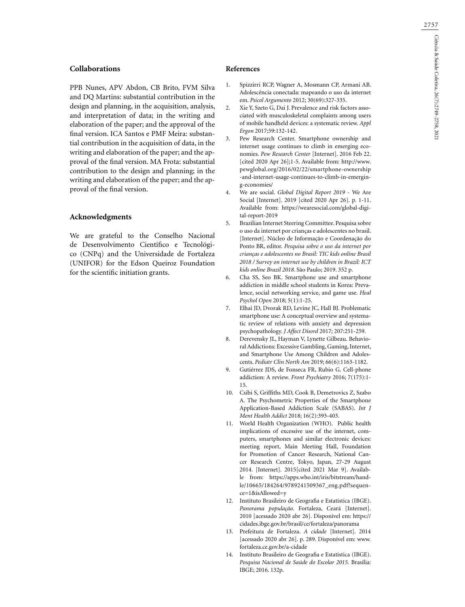#### **Collaborations**

PPB Nunes, APV Abdon, CB Brito, FVM Silva and DQ Martins: substantial contribution in the design and planning, in the acquisition, analysis, and interpretation of data; in the writing and elaboration of the paper; and the approval of the final version. ICA Santos e PMF Meira: substantial contribution in the acquisition of data, in the writing and elaboration of the paper; and the approval of the final version. MA Frota: substantial contribution to the design and planning; in the writing and elaboration of the paper; and the approval of the final version.

#### **Acknowledgments**

We are grateful to the Conselho Nacional de Desenvolvimento Científico e Tecnológico (CNPq) and the Universidade de Fortaleza (UNIFOR) for the Edson Queiroz Foundation for the scientific initiation grants.

#### **References**

- 1. Spizzirri RCP, Wagner A, Mosmann CP, Armani AB. Adolescência conectada: mapeando o uso da internet em. *Psicol Argumento* 2012; 30(69):327-335.
- 2. Xie Y, Szeto G, Dai J. Prevalence and risk factors associated with musculoskeletal complaints among users of mobile handheld devices: a systematic review. *Appl Ergon* 2017;59:132-142.
- 3. Pew Research Center. Smartphone ownership and internet usage continues to climb in emerging economies. *Pew Research Center* [Internet]. 2016 Feb 22. [cited 2020 Apr 26];1-5. Available from: http://www. pewglobal.org/2016/02/22/smartphone-ownership -and-internet-usage-continues-to-climb-in-emerging-economies/
- 4. We are social. *Global Digital Report 2019* We Are Social [Internet]. 2019 [cited 2020 Apr 26]. p. 1-11. Available from: https://wearesocial.com/global-digital-report-2019
- 5. Brazilian Internet Steering Committee. Pesquisa sobre o uso da internet por crianças e adolescentes no brasil. [Internet]. Núcleo de Informação e Coordenação do Ponto BR, editor. *Pesquisa sobre o uso da internet por crianças e adolescentes no Brasil: TIC kids online Brasil 2018 / Survey on internet use by children in Brazil: ICT kids online Brazil 2018*. São Paulo; 2019. 352 p.
- 6. Cha SS, Seo BK. Smartphone use and smartphone addiction in middle school students in Korea: Prevalence, social networking service, and game use. *Heal Psychol Open* 2018; 5(1):1-25.
- 7. Elhai JD, Dvorak RD, Levine JC, Hall BJ. Problematic smartphone use: A conceptual overview and systematic review of relations with anxiety and depression psychopathology. *J Affect Disord* 2017; 207:251-259.
- 8. Derevensky JL, Hayman V, Lynette Gilbeau. Behavioral Addictions: Excessive Gambling, Gaming, Internet, and Smartphone Use Among Children and Adolescents. *Pediatr Clin North Am* 2019; 66(6):1163-1182.
- 9. Gutiérrez JDS, de Fonseca FR, Rubio G. Cell-phone addiction: A review. *Front Psychiatry* 2016; 7(175):1- 15.
- 10. Csibi S, Griffiths MD, Cook B, Demetrovics Z, Szabo A. The Psychometric Properties of the Smartphone Application-Based Addiction Scale (SABAS). *Int J Ment Health Addict* 2018; 16(2):393-403.
- 11. World Health Organization (WHO). Public health implications of excessive use of the internet, computers, smartphones and similar electronic devices: meeting report, Main Meeting Hall, Foundation for Promotion of Cancer Research, National Cancer Research Centre, Tokyo, Japan, 27-29 August 2014. [Internet]. 2015[cited 2021 Mar 9]. Available from: https://apps.who.int/iris/bitstream/handle/10665/184264/9789241509367\_eng.pdf?sequence=1&isAllowed=y
- 12. Instituto Brasileiro de Geografia e Estatística (IBGE). *Panorama população*. Fortaleza, Ceará [Internet]. 2010 [acessado 2020 abr 26]. Disponível em: https:// cidades.ibge.gov.br/brasil/ce/fortaleza/panorama
- 13. Prefeitura de Fortaleza. *A cidade* [Internet]. 2014 [acessado 2020 abr 26]. p. 289. Disponível em: www. fortaleza.ce.gov.br/a-cidade
- 14. Instituto Brasileiro de Geografia e Estatística (IBGE). *Pesquisa Nacional de Saúde do Escolar 2015.* Brasília: IBGE; 2016. 132p.